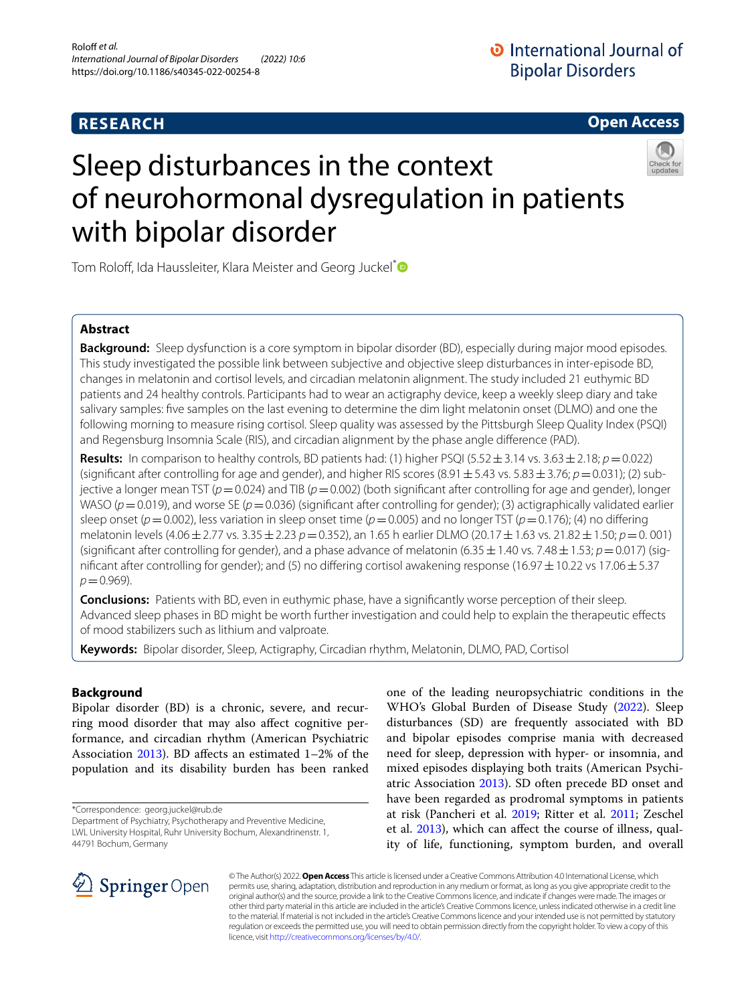# **RESEARCH**



# Sleep disturbances in the context of neurohormonal dysregulation in patients with bipolar disorder



Tom Roloff, Ida Haussleiter, Klara Meister and Georg Juckel<sup>[\\*](http://orcid.org/0000-0001-9860-9620)</sup>

# **Abstract**

**Background:** Sleep dysfunction is a core symptom in bipolar disorder (BD), especially during major mood episodes. This study investigated the possible link between subjective and objective sleep disturbances in inter-episode BD, changes in melatonin and cortisol levels, and circadian melatonin alignment. The study included 21 euthymic BD patients and 24 healthy controls. Participants had to wear an actigraphy device, keep a weekly sleep diary and take salivary samples: fve samples on the last evening to determine the dim light melatonin onset (DLMO) and one the following morning to measure rising cortisol. Sleep quality was assessed by the Pittsburgh Sleep Quality Index (PSQI) and Regensburg Insomnia Scale (RIS), and circadian alignment by the phase angle diference (PAD).

**Results:** In comparison to healthy controls, BD patients had: (1) higher PSQI (5.52 $\pm$ 3.14 vs. 3.63 $\pm$ 2.18; *p*=0.022) (significant after controlling for age and gender), and higher RIS scores  $(8.91 \pm 5.43 \text{ vs. } 5.83 \pm 3.76; p = 0.031)$ ; (2) subjective a longer mean TST (*p*=0.024) and TIB (*p*=0.002) (both signifcant after controlling for age and gender), longer WASO ( $p$  = 0.019), and worse SE ( $p$  = 0.036) (significant after controlling for gender); (3) actigraphically validated earlier sleep onset (*p*=0.002), less variation in sleep onset time (*p*=0.005) and no longer TST (*p*=0.176); (4) no difering melatonin levels (4.06±2.77 vs. 3.35±2.23 *p*=0.352), an 1.65 h earlier DLMO (20.17±1.63 vs. 21.82±1.50; *p*=0. 001) (significant after controlling for gender), and a phase advance of melatonin (6.35  $\pm$  1.40 vs. 7.48  $\pm$  1.53;  $p$  = 0.017) (significant after controlling for gender); and (5) no differing cortisol awakening response (16.97  $\pm$  10.22 vs 17.06  $\pm$  5.37 *p*=0.969).

**Conclusions:** Patients with BD, even in euthymic phase, have a signifcantly worse perception of their sleep. Advanced sleep phases in BD might be worth further investigation and could help to explain the therapeutic efects of mood stabilizers such as lithium and valproate.

**Keywords:** Bipolar disorder, Sleep, Actigraphy, Circadian rhythm, Melatonin, DLMO, PAD, Cortisol

# **Background**

Bipolar disorder (BD) is a chronic, severe, and recurring mood disorder that may also afect cognitive performance, and circadian rhythm (American Psychiatric Association [2013\)](#page-8-0). BD afects an estimated 1–2% of the population and its disability burden has been ranked

\*Correspondence: georg.juckel@rub.de

one of the leading neuropsychiatric conditions in the WHO's Global Burden of Disease Study ([2022](#page-9-0)). Sleep disturbances (SD) are frequently associated with BD and bipolar episodes comprise mania with decreased need for sleep, depression with hyper- or insomnia, and mixed episodes displaying both traits (American Psychiatric Association [2013](#page-8-0)). SD often precede BD onset and have been regarded as prodromal symptoms in patients at risk (Pancheri et al. [2019](#page-9-1); Ritter et al. [2011;](#page-9-2) Zeschel et al. [2013](#page-10-0)), which can afect the course of illness, quality of life, functioning, symptom burden, and overall



© The Author(s) 2022. **Open Access** This article is licensed under a Creative Commons Attribution 4.0 International License, which permits use, sharing, adaptation, distribution and reproduction in any medium or format, as long as you give appropriate credit to the original author(s) and the source, provide a link to the Creative Commons licence, and indicate if changes were made. The images or other third party material in this article are included in the article's Creative Commons licence, unless indicated otherwise in a credit line to the material. If material is not included in the article's Creative Commons licence and your intended use is not permitted by statutory regulation or exceeds the permitted use, you will need to obtain permission directly from the copyright holder. To view a copy of this licence, visit [http://creativecommons.org/licenses/by/4.0/.](http://creativecommons.org/licenses/by/4.0/)

Department of Psychiatry, Psychotherapy and Preventive Medicine, LWL University Hospital, Ruhr University Bochum, Alexandrinenstr. 1, 44791 Bochum, Germany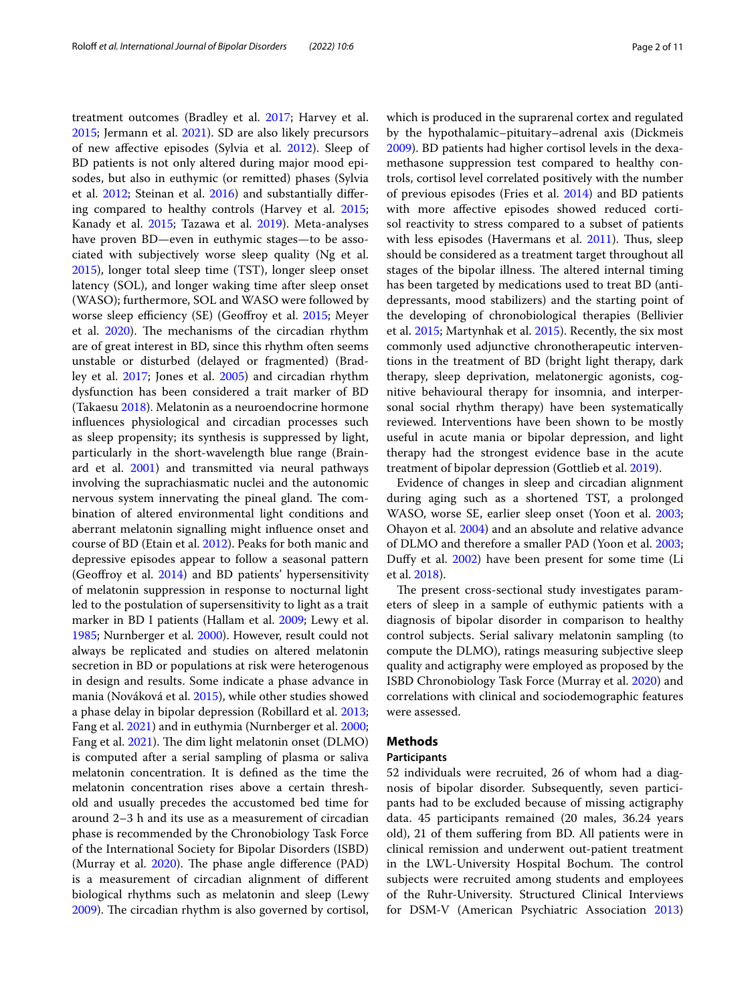treatment outcomes (Bradley et al. [2017;](#page-8-1) Harvey et al. [2015](#page-9-3); Jermann et al. [2021](#page-9-4)). SD are also likely precursors of new afective episodes (Sylvia et al. [2012](#page-10-1)). Sleep of BD patients is not only altered during major mood episodes, but also in euthymic (or remitted) phases (Sylvia et al. [2012;](#page-10-1) Steinan et al. [2016\)](#page-10-2) and substantially difering compared to healthy controls (Harvey et al. [2015](#page-9-3); Kanady et al. [2015;](#page-9-5) Tazawa et al. [2019](#page-10-3)). Meta-analyses have proven BD—even in euthymic stages—to be associated with subjectively worse sleep quality (Ng et al. [2015](#page-9-6)), longer total sleep time (TST), longer sleep onset latency (SOL), and longer waking time after sleep onset (WASO); furthermore, SOL and WASO were followed by worse sleep efficiency (SE) (Geoffroy et al. [2015](#page-9-7); Meyer et al. [2020](#page-9-8)). The mechanisms of the circadian rhythm are of great interest in BD, since this rhythm often seems unstable or disturbed (delayed or fragmented) (Bradley et al. [2017](#page-8-1); Jones et al. [2005\)](#page-9-9) and circadian rhythm dysfunction has been considered a trait marker of BD (Takaesu [2018](#page-10-4)). Melatonin as a neuroendocrine hormone infuences physiological and circadian processes such as sleep propensity; its synthesis is suppressed by light, particularly in the short-wavelength blue range (Brainard et al. [2001](#page-8-2)) and transmitted via neural pathways involving the suprachiasmatic nuclei and the autonomic nervous system innervating the pineal gland. The combination of altered environmental light conditions and aberrant melatonin signalling might infuence onset and course of BD (Etain et al. [2012](#page-8-3)). Peaks for both manic and depressive episodes appear to follow a seasonal pattern (Geofroy et al. [2014](#page-9-10)) and BD patients' hypersensitivity of melatonin suppression in response to nocturnal light led to the postulation of supersensitivity to light as a trait marker in BD I patients (Hallam et al. [2009](#page-9-11); Lewy et al. [1985](#page-9-12); Nurnberger et al. [2000](#page-9-13)). However, result could not always be replicated and studies on altered melatonin secretion in BD or populations at risk were heterogenous in design and results. Some indicate a phase advance in mania (Nováková et al. [2015](#page-9-14)), while other studies showed a phase delay in bipolar depression (Robillard et al. [2013](#page-9-15); Fang et al. [2021\)](#page-8-4) and in euthymia (Nurnberger et al. [2000](#page-9-13); Fang et al. [2021](#page-8-4)). The dim light melatonin onset (DLMO) is computed after a serial sampling of plasma or saliva melatonin concentration. It is defned as the time the melatonin concentration rises above a certain threshold and usually precedes the accustomed bed time for around 2–3 h and its use as a measurement of circadian phase is recommended by the Chronobiology Task Force of the International Society for Bipolar Disorders (ISBD) (Murray et al. [2020](#page-9-16)). The phase angle difference (PAD) is a measurement of circadian alignment of diferent biological rhythms such as melatonin and sleep (Lewy [2009](#page-9-17)). The circadian rhythm is also governed by cortisol, which is produced in the suprarenal cortex and regulated by the hypothalamic–pituitary–adrenal axis (Dickmeis [2009](#page-8-5)). BD patients had higher cortisol levels in the dexamethasone suppression test compared to healthy controls, cortisol level correlated positively with the number of previous episodes (Fries et al. [2014\)](#page-8-6) and BD patients with more afective episodes showed reduced cortisol reactivity to stress compared to a subset of patients with less episodes (Havermans et al. [2011](#page-9-18)). Thus, sleep should be considered as a treatment target throughout all stages of the bipolar illness. The altered internal timing has been targeted by medications used to treat BD (antidepressants, mood stabilizers) and the starting point of the developing of chronobiological therapies (Bellivier et al. [2015;](#page-8-7) Martynhak et al. [2015](#page-9-19)). Recently, the six most commonly used adjunctive chronotherapeutic interventions in the treatment of BD (bright light therapy, dark therapy, sleep deprivation, melatonergic agonists, cognitive behavioural therapy for insomnia, and interpersonal social rhythm therapy) have been systematically reviewed. Interventions have been shown to be mostly useful in acute mania or bipolar depression, and light therapy had the strongest evidence base in the acute

treatment of bipolar depression (Gottlieb et al. [2019](#page-9-20)). Evidence of changes in sleep and circadian alignment during aging such as a shortened TST, a prolonged WASO, worse SE, earlier sleep onset (Yoon et al. [2003](#page-10-5); Ohayon et al. [2004\)](#page-9-21) and an absolute and relative advance of DLMO and therefore a smaller PAD (Yoon et al. [2003](#page-10-5); Dufy et al. [2002](#page-8-8)) have been present for some time (Li et al. [2018](#page-9-22)).

The present cross-sectional study investigates parameters of sleep in a sample of euthymic patients with a diagnosis of bipolar disorder in comparison to healthy control subjects. Serial salivary melatonin sampling (to compute the DLMO), ratings measuring subjective sleep quality and actigraphy were employed as proposed by the ISBD Chronobiology Task Force (Murray et al. [2020\)](#page-9-16) and correlations with clinical and sociodemographic features were assessed.

# **Methods**

# **Participants**

52 individuals were recruited, 26 of whom had a diagnosis of bipolar disorder. Subsequently, seven participants had to be excluded because of missing actigraphy data. 45 participants remained (20 males, 36.24 years old), 21 of them sufering from BD. All patients were in clinical remission and underwent out-patient treatment in the LWL-University Hospital Bochum. The control subjects were recruited among students and employees of the Ruhr-University. Structured Clinical Interviews for DSM-V (American Psychiatric Association [2013](#page-8-0))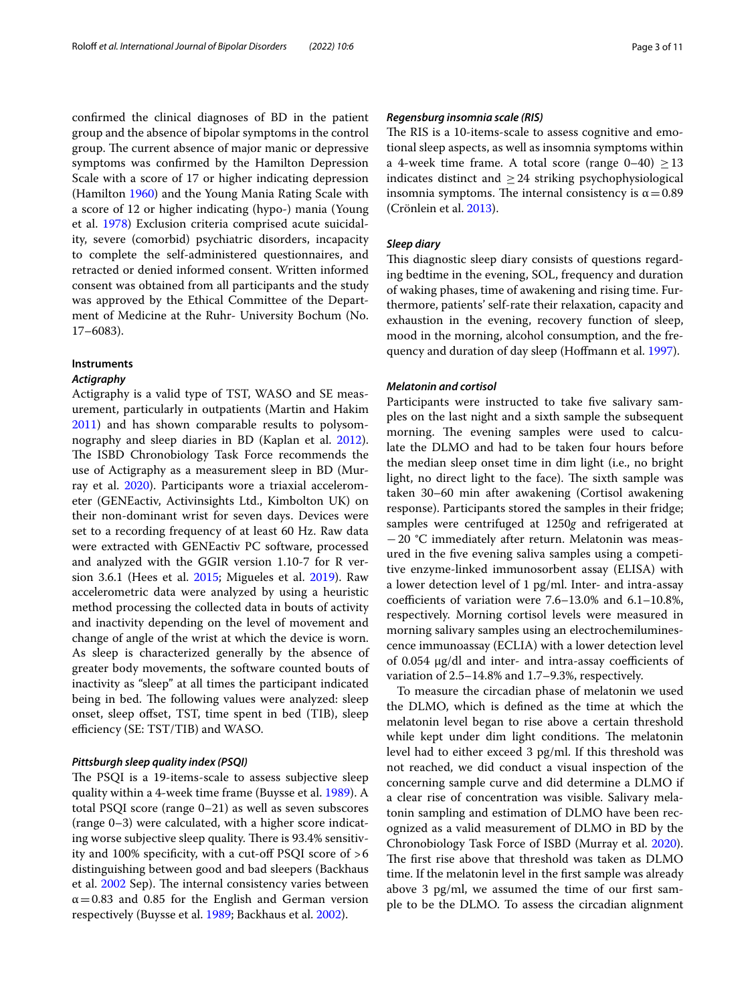confrmed the clinical diagnoses of BD in the patient group and the absence of bipolar symptoms in the control group. The current absence of major manic or depressive symptoms was confrmed by the Hamilton Depression Scale with a score of 17 or higher indicating depression (Hamilton [1960\)](#page-9-23) and the Young Mania Rating Scale with a score of 12 or higher indicating (hypo-) mania (Young et al. [1978](#page-10-6)) Exclusion criteria comprised acute suicidality, severe (comorbid) psychiatric disorders, incapacity to complete the self-administered questionnaires, and retracted or denied informed consent. Written informed consent was obtained from all participants and the study was approved by the Ethical Committee of the Department of Medicine at the Ruhr- University Bochum (No. 17–6083).

#### **Instruments**

# *Actigraphy*

Actigraphy is a valid type of TST, WASO and SE measurement, particularly in outpatients (Martin and Hakim [2011](#page-9-24)) and has shown comparable results to polysomnography and sleep diaries in BD (Kaplan et al. [2012](#page-9-25)). The ISBD Chronobiology Task Force recommends the use of Actigraphy as a measurement sleep in BD (Mur-ray et al. [2020\)](#page-9-16). Participants wore a triaxial accelerometer (GENEactiv, Activinsights Ltd., Kimbolton UK) on their non-dominant wrist for seven days. Devices were set to a recording frequency of at least 60 Hz. Raw data were extracted with GENEactiv PC software, processed and analyzed with the GGIR version 1.10-7 for R version 3.6.1 (Hees et al. [2015](#page-10-7); Migueles et al. [2019\)](#page-9-26). Raw accelerometric data were analyzed by using a heuristic method processing the collected data in bouts of activity and inactivity depending on the level of movement and change of angle of the wrist at which the device is worn. As sleep is characterized generally by the absence of greater body movements, the software counted bouts of inactivity as "sleep" at all times the participant indicated being in bed. The following values were analyzed: sleep onset, sleep ofset, TST, time spent in bed (TIB), sleep efficiency (SE: TST/TIB) and WASO.

# *Pittsburgh sleep quality index (PSQI)*

The PSQI is a 19-items-scale to assess subjective sleep quality within a 4-week time frame (Buysse et al. [1989\)](#page-8-9). A total PSQI score (range 0–21) as well as seven subscores (range 0–3) were calculated, with a higher score indicating worse subjective sleep quality. There is 93.4% sensitivity and 100% specificity, with a cut-off PSQI score of  $>6$ distinguishing between good and bad sleepers (Backhaus et al. [2002](#page-8-10) Sep). The internal consistency varies between  $\alpha$  = 0.83 and 0.85 for the English and German version respectively (Buysse et al. [1989](#page-8-9); Backhaus et al. [2002\)](#page-8-10).

# *Regensburg insomnia scale (RIS)*

The RIS is a 10-items-scale to assess cognitive and emotional sleep aspects, as well as insomnia symptoms within a 4-week time frame. A total score (range  $0-40$ ) > 13 indicates distinct and  $\geq$  24 striking psychophysiological insomnia symptoms. The internal consistency is  $\alpha$  = 0.89 (Crönlein et al. [2013\)](#page-8-11).

# *Sleep diary*

This diagnostic sleep diary consists of questions regarding bedtime in the evening, SOL, frequency and duration of waking phases, time of awakening and rising time. Furthermore, patients' self-rate their relaxation, capacity and exhaustion in the evening, recovery function of sleep, mood in the morning, alcohol consumption, and the frequency and duration of day sleep (Hofmann et al. [1997](#page-8-12)).

# *Melatonin and cortisol*

Participants were instructed to take five salivary samples on the last night and a sixth sample the subsequent morning. The evening samples were used to calculate the DLMO and had to be taken four hours before the median sleep onset time in dim light (i.e., no bright light, no direct light to the face). The sixth sample was taken 30–60 min after awakening (Cortisol awakening response). Participants stored the samples in their fridge; samples were centrifuged at 1250*g* and refrigerated at −20 °C immediately after return. Melatonin was measured in the fve evening saliva samples using a competitive enzyme-linked immunosorbent assay (ELISA) with a lower detection level of 1 pg/ml. Inter- and intra-assay coefficients of variation were  $7.6-13.0\%$  and  $6.1-10.8\%$ , respectively. Morning cortisol levels were measured in morning salivary samples using an electrochemiluminescence immunoassay (ECLIA) with a lower detection level of  $0.054 \mu g/dl$  and inter- and intra-assay coefficients of variation of 2.5–14.8% and 1.7–9.3%, respectively.

To measure the circadian phase of melatonin we used the DLMO, which is defned as the time at which the melatonin level began to rise above a certain threshold while kept under dim light conditions. The melatonin level had to either exceed 3 pg/ml. If this threshold was not reached, we did conduct a visual inspection of the concerning sample curve and did determine a DLMO if a clear rise of concentration was visible. Salivary melatonin sampling and estimation of DLMO have been recognized as a valid measurement of DLMO in BD by the Chronobiology Task Force of ISBD (Murray et al. [2020](#page-9-16)). The first rise above that threshold was taken as DLMO time. If the melatonin level in the frst sample was already above 3 pg/ml, we assumed the time of our frst sample to be the DLMO. To assess the circadian alignment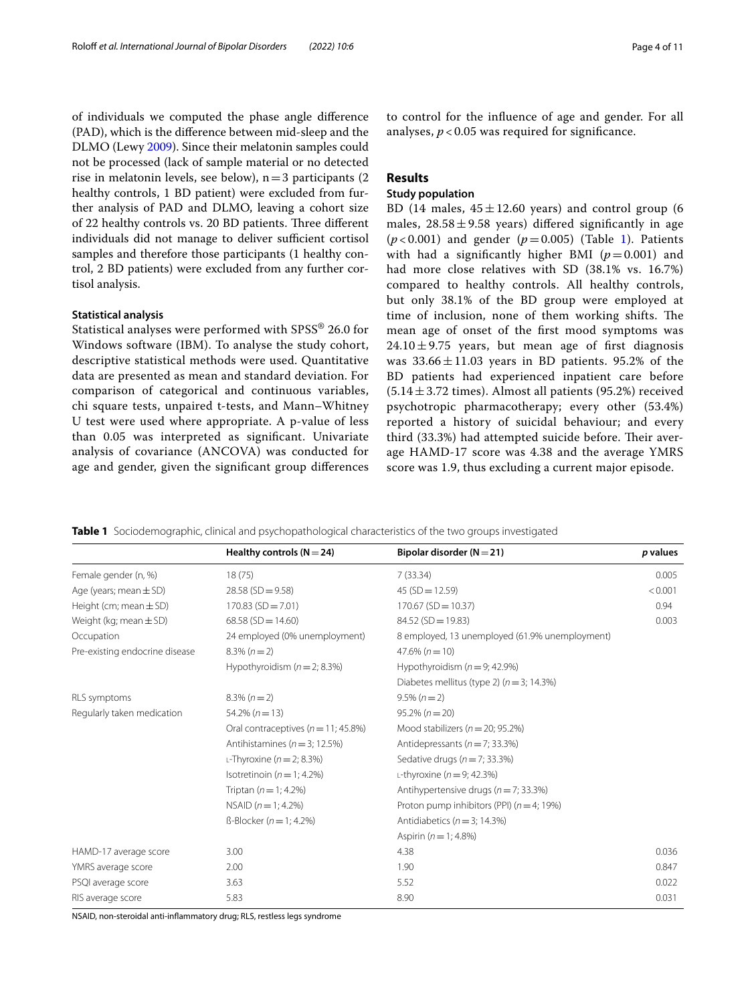of individuals we computed the phase angle diference (PAD), which is the diference between mid-sleep and the DLMO (Lewy [2009\)](#page-9-17). Since their melatonin samples could not be processed (lack of sample material or no detected rise in melatonin levels, see below),  $n=3$  participants (2) healthy controls, 1 BD patient) were excluded from further analysis of PAD and DLMO, leaving a cohort size of 22 healthy controls vs. 20 BD patients. Three different individuals did not manage to deliver sufficient cortisol samples and therefore those participants (1 healthy control, 2 BD patients) were excluded from any further cortisol analysis.

# **Statistical analysis**

Statistical analyses were performed with SPSS® 26.0 for Windows software (IBM). To analyse the study cohort, descriptive statistical methods were used. Quantitative data are presented as mean and standard deviation. For comparison of categorical and continuous variables, chi square tests, unpaired t-tests, and Mann–Whitney U test were used where appropriate. A p-value of less than 0.05 was interpreted as signifcant. Univariate analysis of covariance (ANCOVA) was conducted for age and gender, given the signifcant group diferences to control for the infuence of age and gender. For all analyses,  $p < 0.05$  was required for significance.

# **Results**

# **Study population**

BD (14 males,  $45 \pm 12.60$  years) and control group (6 males,  $28.58 \pm 9.58$  vears) differed significantly in age  $(p<0.001)$  $(p<0.001)$  $(p<0.001)$  and gender  $(p=0.005)$  (Table 1). Patients with had a significantly higher BMI  $(p=0.001)$  and had more close relatives with SD (38.1% vs. 16.7%) compared to healthy controls. All healthy controls, but only 38.1% of the BD group were employed at time of inclusion, none of them working shifts. The mean age of onset of the frst mood symptoms was  $24.10 \pm 9.75$  years, but mean age of first diagnosis was  $33.66 \pm 11.03$  years in BD patients. 95.2% of the BD patients had experienced inpatient care before  $(5.14 \pm 3.72 \text{ times})$ . Almost all patients (95.2%) received psychotropic pharmacotherapy; every other (53.4%) reported a history of suicidal behaviour; and every third (33.3%) had attempted suicide before. Their average HAMD-17 score was 4.38 and the average YMRS score was 1.9, thus excluding a current major episode.

<span id="page-3-0"></span>**Table 1** Sociodemographic, clinical and psychopathological characteristics of the two groups investigated

|                                | Healthy controls $(N = 24)$             | Bipolar disorder ( $N = 21$ )                  | p values |
|--------------------------------|-----------------------------------------|------------------------------------------------|----------|
| Female gender (n, %)           | 18(75)                                  | 7(33.34)                                       | 0.005    |
| Age (years; mean $\pm$ SD)     | $28.58$ (SD = 9.58)                     | $45(SD = 12.59)$                               | < 0.001  |
| Height (cm; mean $\pm$ SD)     | $170.83$ (SD = 7.01)                    | $170.67$ (SD = 10.37)                          | 0.94     |
| Weight (kg; mean $\pm$ SD)     | $68.58(SD = 14.60)$                     | $84.52(SD = 19.83)$                            | 0.003    |
| Occupation                     | 24 employed (0% unemployment)           | 8 employed, 13 unemployed (61.9% unemployment) |          |
| Pre-existing endocrine disease | $8.3\% (n=2)$                           | $47.6\% (n=10)$                                |          |
|                                | Hypothyroidism $(n = 2; 8.3%)$          | Hypothyroidism $(n = 9; 42.9%)$                |          |
|                                |                                         | Diabetes mellitus (type 2) ( $n = 3$ ; 14.3%)  |          |
| RLS symptoms                   | $8.3\% (n=2)$                           | $9.5\% (n=2)$                                  |          |
| Regularly taken medication     | $54.2\% (n=13)$                         | $95.2\% (n = 20)$                              |          |
|                                | Oral contraceptives ( $n = 11$ ; 45.8%) | Mood stabilizers ( $n = 20$ ; 95.2%)           |          |
|                                | Antihistamines ( $n = 3$ ; 12.5%)       | Antidepressants ( $n = 7$ ; 33.3%)             |          |
|                                | L-Thyroxine ( $n = 2$ ; 8.3%)           | Sedative drugs ( $n = 7$ ; 33.3%)              |          |
|                                | Isotretinoin ( $n = 1$ ; 4.2%)          | L-thyroxine ( $n = 9$ ; 42.3%)                 |          |
|                                | Triptan $(n = 1; 4.2\%)$                | Antihypertensive drugs ( $n = 7$ ; 33.3%)      |          |
|                                | NSAID $(n = 1; 4.2\%)$                  | Proton pump inhibitors (PPI) $(n=4; 19%)$      |          |
|                                | $B$ -Blocker ( $n = 1$ ; 4.2%)          | Antidiabetics ( $n = 3$ ; 14.3%)               |          |
|                                |                                         | Aspirin $(n = 1; 4.8\%)$                       |          |
| HAMD-17 average score          | 3.00                                    | 4.38                                           | 0.036    |
| YMRS average score             | 2.00                                    | 1.90                                           | 0.847    |
| PSQI average score             | 3.63                                    | 5.52                                           | 0.022    |
| RIS average score              | 5.83                                    | 8.90                                           | 0.031    |

NSAID, non-steroidal anti-infammatory drug; RLS, restless legs syndrome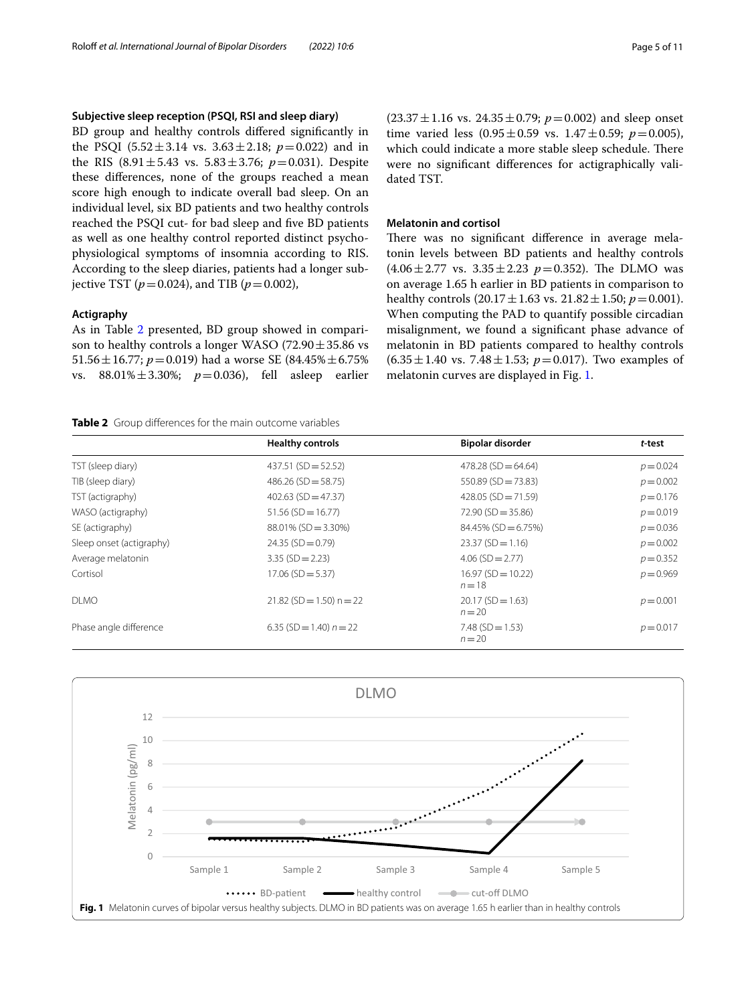# **Subjective sleep reception (PSQI, RSI and sleep diary)**

BD group and healthy controls difered signifcantly in the PSQI  $(5.52 \pm 3.14 \text{ vs. } 3.63 \pm 2.18; p = 0.022)$  and in the RIS  $(8.91 \pm 5.43 \text{ vs. } 5.83 \pm 3.76; p = 0.031)$ . Despite these diferences, none of the groups reached a mean score high enough to indicate overall bad sleep. On an individual level, six BD patients and two healthy controls reached the PSQI cut- for bad sleep and fve BD patients as well as one healthy control reported distinct psychophysiological symptoms of insomnia according to RIS. According to the sleep diaries, patients had a longer subjective TST ( $p = 0.024$ ), and TIB ( $p = 0.002$ ),

# **Actigraphy**

As in Table [2](#page-4-0) presented, BD group showed in comparison to healthy controls a longer WASO (72.90 $\pm$ 35.86 vs 51.56  $\pm$  16.77; *p* = 0.019) had a worse SE (84.45%  $\pm$  6.75%) vs. 88.01%±3.30%; *p*=0.036), fell asleep earlier

<span id="page-4-0"></span>**Table 2** Group diferences for the main outcome variables

 $(23.37 \pm 1.16 \text{ vs. } 24.35 \pm 0.79; p = 0.002)$  and sleep onset time varied less  $(0.95 \pm 0.59 \text{ vs. } 1.47 \pm 0.59; \ p = 0.005)$ , which could indicate a more stable sleep schedule. There were no signifcant diferences for actigraphically validated TST.

## **Melatonin and cortisol**

There was no significant difference in average melatonin levels between BD patients and healthy controls  $(4.06 \pm 2.77 \text{ vs. } 3.35 \pm 2.23 \text{ p} = 0.352)$ . The DLMO was on average 1.65 h earlier in BD patients in comparison to healthy controls  $(20.17 \pm 1.63 \text{ vs. } 21.82 \pm 1.50; p = 0.001)$ . When computing the PAD to quantify possible circadian misalignment, we found a signifcant phase advance of melatonin in BD patients compared to healthy controls  $(6.35 \pm 1.40 \text{ vs. } 7.48 \pm 1.53; \ p = 0.017)$ . Two examples of melatonin curves are displayed in Fig. [1.](#page-4-1)

|                          | <b>Healthy controls</b>    | <b>Bipolar disorder</b>         | t-test      |
|--------------------------|----------------------------|---------------------------------|-------------|
| TST (sleep diary)        | $437.51$ (SD = 52.52)      | $478.28$ (SD = 64.64)           | $p = 0.024$ |
| TIB (sleep diary)        | $486.26$ (SD = 58.75)      | $550.89$ (SD = 73.83)           | $p = 0.002$ |
| TST (actigraphy)         | $402.63$ (SD = 47.37)      | $428.05$ (SD = 71.59)           | $p = 0.176$ |
| WASO (actigraphy)        | $51.56$ (SD = 16.77)       | $72.90$ (SD = 35.86)            | $p = 0.019$ |
| SE (actigraphy)          | $88.01\%$ (SD = 3.30%)     | $84.45\%$ (SD = 6.75%)          | $p = 0.036$ |
| Sleep onset (actigraphy) | $24.35(SD = 0.79)$         | $23.37(SD = 1.16)$              | $p = 0.002$ |
| Average melatonin        | $3.35$ (SD = 2.23)         | $4.06$ (SD = 2.77)              | $p = 0.352$ |
| Cortisol                 | $17.06$ (SD = 5.37)        | $16.97(SD = 10.22)$<br>$n = 18$ | $p = 0.969$ |
| <b>DLMO</b>              | $21.82$ (SD = 1.50) n = 22 | $20.17(SD = 1.63)$<br>$n = 20$  | $p = 0.001$ |
| Phase angle difference   | 6.35 (SD = 1.40) $n = 22$  | $7.48$ (SD = 1.53)<br>$n = 20$  | $p = 0.017$ |

<span id="page-4-1"></span>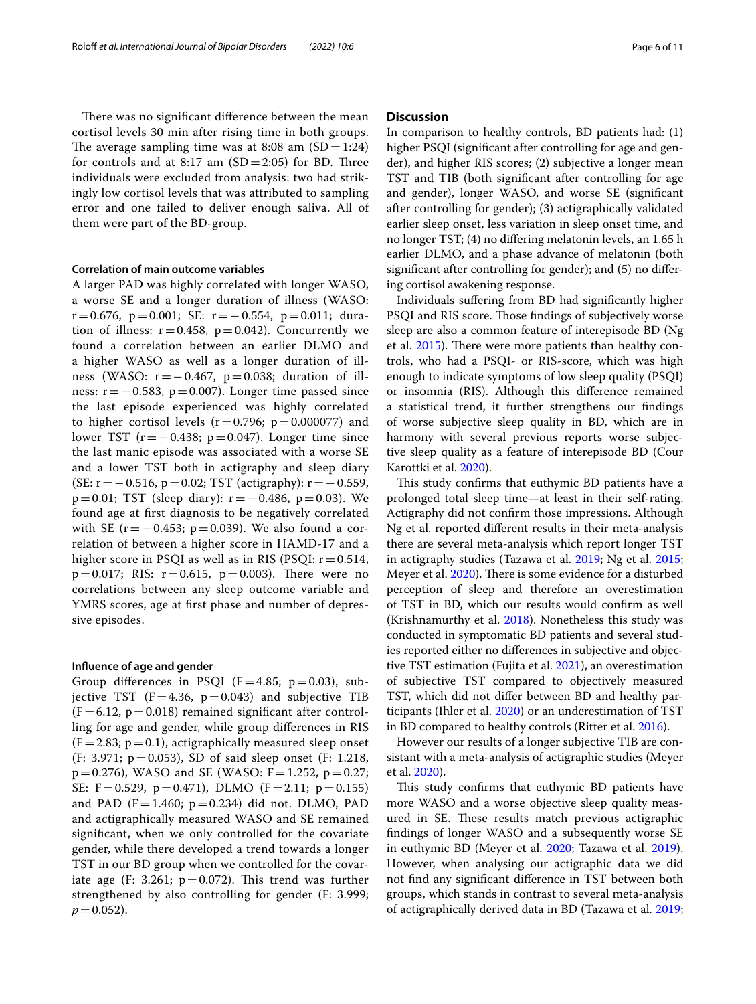There was no significant difference between the mean cortisol levels 30 min after rising time in both groups. The average sampling time was at 8:08 am  $(SD=1:24)$ for controls and at 8:17 am  $(SD=2:05)$  for BD. Three individuals were excluded from analysis: two had strikingly low cortisol levels that was attributed to sampling error and one failed to deliver enough saliva. All of them were part of the BD-group.

#### **Correlation of main outcome variables**

A larger PAD was highly correlated with longer WASO, a worse SE and a longer duration of illness (WASO: r=0.676, p=0.001; SE: r=−0.554, p=0.011; duration of illness:  $r = 0.458$ ,  $p = 0.042$ ). Concurrently we found a correlation between an earlier DLMO and a higher WASO as well as a longer duration of illness (WASO:  $r = -0.467$ ,  $p = 0.038$ ; duration of illness:  $r = -0.583$ ,  $p = 0.007$ ). Longer time passed since the last episode experienced was highly correlated to higher cortisol levels  $(r=0.796; p=0.000077)$  and lower TST  $(r=-0.438; p=0.047)$ . Longer time since the last manic episode was associated with a worse SE and a lower TST both in actigraphy and sleep diary (SE: r=−0.516, p=0.02; TST (actigraphy): r=−0.559, p=0.01; TST (sleep diary): r=−0.486, p=0.03). We found age at frst diagnosis to be negatively correlated with SE ( $r = -0.453$ ;  $p = 0.039$ ). We also found a correlation of between a higher score in HAMD-17 and a higher score in PSQI as well as in RIS (PSQI:  $r = 0.514$ ,  $p=0.017$ ; RIS:  $r=0.615$ ,  $p=0.003$ ). There were no correlations between any sleep outcome variable and YMRS scores, age at frst phase and number of depressive episodes.

#### **Infuence of age and gender**

Group differences in PSQI ( $F=4.85$ ;  $p=0.03$ ), subjective TST  $(F=4.36, p=0.043)$  and subjective TIB  $(F=6.12, p=0.018)$  remained significant after controlling for age and gender, while group diferences in RIS  $(F=2.83; p=0.1)$ , actigraphically measured sleep onset (F: 3.971; p=0.053), SD of said sleep onset (F: 1.218,  $p=0.276$ ), WASO and SE (WASO:  $F=1.252$ ,  $p=0.27$ ; SE:  $F = 0.529$ ,  $p = 0.471$ ), DLMO ( $F = 2.11$ ;  $p = 0.155$ ) and PAD (F=1.460;  $p=0.234$ ) did not. DLMO, PAD and actigraphically measured WASO and SE remained signifcant, when we only controlled for the covariate gender, while there developed a trend towards a longer TST in our BD group when we controlled for the covariate age (F: 3.261;  $p=0.072$ ). This trend was further strengthened by also controlling for gender (F: 3.999;  $p = 0.052$ ).

# **Discussion**

In comparison to healthy controls, BD patients had: (1) higher PSQI (signifcant after controlling for age and gender), and higher RIS scores; (2) subjective a longer mean TST and TIB (both signifcant after controlling for age and gender), longer WASO, and worse SE (signifcant after controlling for gender); (3) actigraphically validated earlier sleep onset, less variation in sleep onset time, and no longer TST; (4) no difering melatonin levels, an 1.65 h earlier DLMO, and a phase advance of melatonin (both signifcant after controlling for gender); and (5) no difering cortisol awakening response.

Individuals sufering from BD had signifcantly higher PSQI and RIS score. Those findings of subjectively worse sleep are also a common feature of interepisode BD (Ng et al.  $2015$ ). There were more patients than healthy controls, who had a PSQI- or RIS-score, which was high enough to indicate symptoms of low sleep quality (PSQI) or insomnia (RIS). Although this diference remained a statistical trend, it further strengthens our fndings of worse subjective sleep quality in BD, which are in harmony with several previous reports worse subjective sleep quality as a feature of interepisode BD (Cour Karottki et al. [2020](#page-9-27)).

This study confirms that euthymic BD patients have a prolonged total sleep time—at least in their self-rating. Actigraphy did not confrm those impressions. Although Ng et al. reported diferent results in their meta-analysis there are several meta-analysis which report longer TST in actigraphy studies (Tazawa et al. [2019](#page-10-3); Ng et al. [2015](#page-9-6); Meyer et al. [2020\)](#page-9-8). There is some evidence for a disturbed perception of sleep and therefore an overestimation of TST in BD, which our results would confrm as well (Krishnamurthy et al. [2018](#page-9-28)). Nonetheless this study was conducted in symptomatic BD patients and several studies reported either no diferences in subjective and objective TST estimation (Fujita et al. [2021\)](#page-9-29), an overestimation of subjective TST compared to objectively measured TST, which did not difer between BD and healthy participants (Ihler et al. [2020\)](#page-9-30) or an underestimation of TST in BD compared to healthy controls (Ritter et al. [2016\)](#page-9-31).

However our results of a longer subjective TIB are consistant with a meta-analysis of actigraphic studies (Meyer et al. [2020](#page-9-8)).

This study confirms that euthymic BD patients have more WASO and a worse objective sleep quality measured in SE. These results match previous actigraphic fndings of longer WASO and a subsequently worse SE in euthymic BD (Meyer et al. [2020](#page-9-8); Tazawa et al. [2019](#page-10-3)). However, when analysing our actigraphic data we did not fnd any signifcant diference in TST between both groups, which stands in contrast to several meta-analysis of actigraphically derived data in BD (Tazawa et al. [2019](#page-10-3);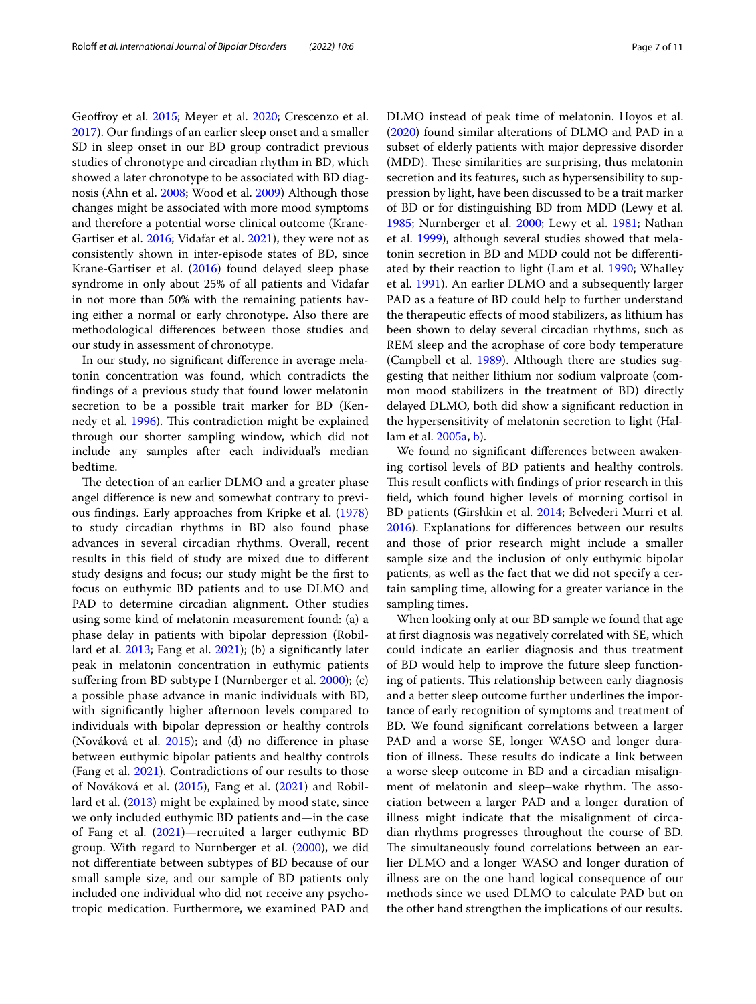Geofroy et al. [2015;](#page-9-7) Meyer et al. [2020;](#page-9-8) Crescenzo et al. [2017](#page-8-13)). Our fndings of an earlier sleep onset and a smaller SD in sleep onset in our BD group contradict previous studies of chronotype and circadian rhythm in BD, which showed a later chronotype to be associated with BD diagnosis (Ahn et al. [2008](#page-8-14); Wood et al. [2009](#page-10-8)) Although those changes might be associated with more mood symptoms and therefore a potential worse clinical outcome (Krane-Gartiser et al. [2016](#page-9-32); Vidafar et al. [2021\)](#page-10-9), they were not as consistently shown in inter-episode states of BD, since Krane-Gartiser et al. ([2016](#page-9-32)) found delayed sleep phase syndrome in only about 25% of all patients and Vidafar in not more than 50% with the remaining patients having either a normal or early chronotype. Also there are methodological diferences between those studies and our study in assessment of chronotype.

In our study, no signifcant diference in average melatonin concentration was found, which contradicts the fndings of a previous study that found lower melatonin secretion to be a possible trait marker for BD (Ken-nedy et al. [1996\)](#page-9-33). This contradiction might be explained through our shorter sampling window, which did not include any samples after each individual's median bedtime.

The detection of an earlier DLMO and a greater phase angel diference is new and somewhat contrary to previous fndings. Early approaches from Kripke et al. ([1978](#page-9-34)) to study circadian rhythms in BD also found phase advances in several circadian rhythms. Overall, recent results in this feld of study are mixed due to diferent study designs and focus; our study might be the frst to focus on euthymic BD patients and to use DLMO and PAD to determine circadian alignment. Other studies using some kind of melatonin measurement found: (a) a phase delay in patients with bipolar depression (Robillard et al. [2013;](#page-9-15) Fang et al. [2021](#page-8-4)); (b) a signifcantly later peak in melatonin concentration in euthymic patients suffering from BD subtype I (Nurnberger et al. [2000\)](#page-9-13); (c) a possible phase advance in manic individuals with BD, with signifcantly higher afternoon levels compared to individuals with bipolar depression or healthy controls (Nováková et al. [2015](#page-9-14)); and (d) no diference in phase between euthymic bipolar patients and healthy controls (Fang et al. [2021](#page-8-4)). Contradictions of our results to those of Nováková et al. [\(2015](#page-9-14)), Fang et al. [\(2021\)](#page-8-4) and Robillard et al. ([2013](#page-9-15)) might be explained by mood state, since we only included euthymic BD patients and—in the case of Fang et al. [\(2021\)](#page-8-4)—recruited a larger euthymic BD group. With regard to Nurnberger et al. [\(2000](#page-9-13)), we did not diferentiate between subtypes of BD because of our small sample size, and our sample of BD patients only included one individual who did not receive any psychotropic medication. Furthermore, we examined PAD and DLMO instead of peak time of melatonin. Hoyos et al. ([2020\)](#page-9-35) found similar alterations of DLMO and PAD in a subset of elderly patients with major depressive disorder (MDD). These similarities are surprising, thus melatonin secretion and its features, such as hypersensibility to suppression by light, have been discussed to be a trait marker of BD or for distinguishing BD from MDD (Lewy et al. [1985](#page-9-12); Nurnberger et al. [2000;](#page-9-13) Lewy et al. [1981](#page-9-36); Nathan et al. [1999](#page-9-37)), although several studies showed that melatonin secretion in BD and MDD could not be diferentiated by their reaction to light (Lam et al. [1990](#page-9-38); Whalley et al. [1991](#page-10-10)). An earlier DLMO and a subsequently larger PAD as a feature of BD could help to further understand the therapeutic efects of mood stabilizers, as lithium has been shown to delay several circadian rhythms, such as REM sleep and the acrophase of core body temperature (Campbell et al. [1989\)](#page-8-15). Although there are studies suggesting that neither lithium nor sodium valproate (common mood stabilizers in the treatment of BD) directly delayed DLMO, both did show a signifcant reduction in the hypersensitivity of melatonin secretion to light (Hallam et al. [2005a](#page-9-39), [b\)](#page-9-40).

We found no signifcant diferences between awakening cortisol levels of BD patients and healthy controls. This result conflicts with findings of prior research in this feld, which found higher levels of morning cortisol in BD patients (Girshkin et al. [2014;](#page-9-41) Belvederi Murri et al. [2016](#page-8-16)). Explanations for diferences between our results and those of prior research might include a smaller sample size and the inclusion of only euthymic bipolar patients, as well as the fact that we did not specify a certain sampling time, allowing for a greater variance in the sampling times.

When looking only at our BD sample we found that age at frst diagnosis was negatively correlated with SE, which could indicate an earlier diagnosis and thus treatment of BD would help to improve the future sleep functioning of patients. This relationship between early diagnosis and a better sleep outcome further underlines the importance of early recognition of symptoms and treatment of BD. We found signifcant correlations between a larger PAD and a worse SE, longer WASO and longer duration of illness. These results do indicate a link between a worse sleep outcome in BD and a circadian misalignment of melatonin and sleep-wake rhythm. The association between a larger PAD and a longer duration of illness might indicate that the misalignment of circadian rhythms progresses throughout the course of BD. The simultaneously found correlations between an earlier DLMO and a longer WASO and longer duration of illness are on the one hand logical consequence of our methods since we used DLMO to calculate PAD but on the other hand strengthen the implications of our results.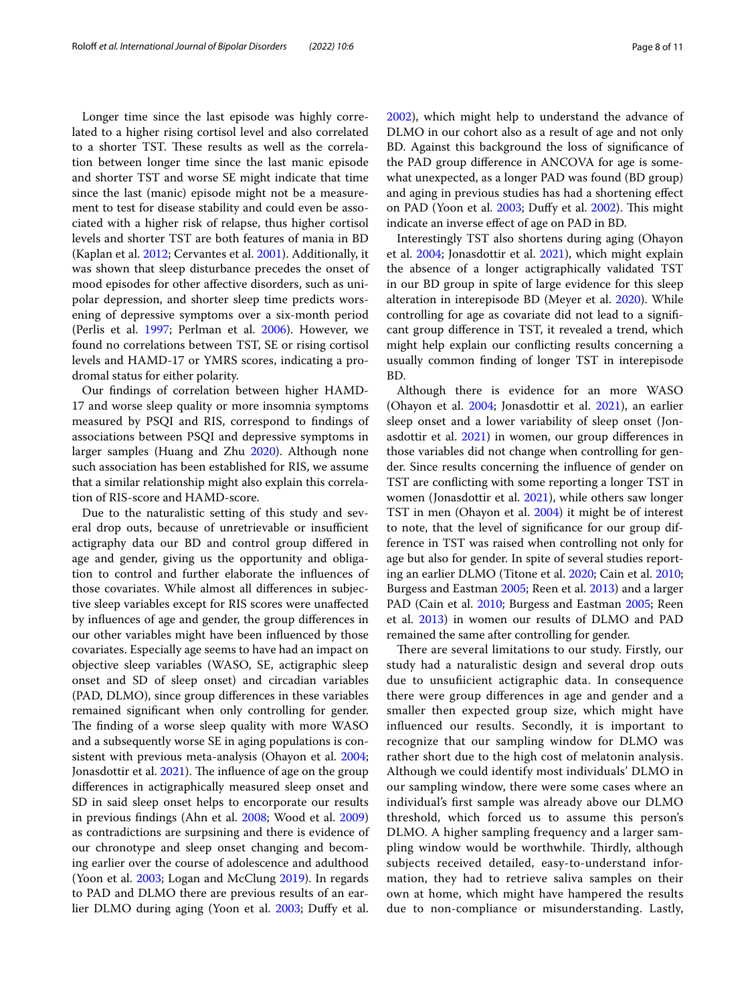Longer time since the last episode was highly correlated to a higher rising cortisol level and also correlated to a shorter TST. These results as well as the correlation between longer time since the last manic episode and shorter TST and worse SE might indicate that time since the last (manic) episode might not be a measurement to test for disease stability and could even be associated with a higher risk of relapse, thus higher cortisol levels and shorter TST are both features of mania in BD (Kaplan et al. [2012](#page-9-25); Cervantes et al. [2001](#page-8-17)). Additionally, it was shown that sleep disturbance precedes the onset of mood episodes for other afective disorders, such as unipolar depression, and shorter sleep time predicts worsening of depressive symptoms over a six-month period (Perlis et al. [1997](#page-9-42); Perlman et al. [2006\)](#page-9-43). However, we found no correlations between TST, SE or rising cortisol levels and HAMD-17 or YMRS scores, indicating a prodromal status for either polarity.

Our fndings of correlation between higher HAMD-17 and worse sleep quality or more insomnia symptoms measured by PSQI and RIS, correspond to fndings of associations between PSQI and depressive symptoms in larger samples (Huang and Zhu [2020](#page-9-44)). Although none such association has been established for RIS, we assume that a similar relationship might also explain this correlation of RIS-score and HAMD-score.

Due to the naturalistic setting of this study and several drop outs, because of unretrievable or insufficient actigraphy data our BD and control group difered in age and gender, giving us the opportunity and obligation to control and further elaborate the infuences of those covariates. While almost all diferences in subjective sleep variables except for RIS scores were unafected by infuences of age and gender, the group diferences in our other variables might have been infuenced by those covariates. Especially age seems to have had an impact on objective sleep variables (WASO, SE, actigraphic sleep onset and SD of sleep onset) and circadian variables (PAD, DLMO), since group diferences in these variables remained signifcant when only controlling for gender. The finding of a worse sleep quality with more WASO and a subsequently worse SE in aging populations is consistent with previous meta-analysis (Ohayon et al. [2004](#page-9-21); Jonasdottir et al.  $2021$ ). The influence of age on the group diferences in actigraphically measured sleep onset and SD in said sleep onset helps to encorporate our results in previous fndings (Ahn et al. [2008](#page-8-14); Wood et al. [2009](#page-10-8)) as contradictions are surpsining and there is evidence of our chronotype and sleep onset changing and becoming earlier over the course of adolescence and adulthood (Yoon et al. [2003](#page-10-5); Logan and McClung [2019](#page-9-46)). In regards to PAD and DLMO there are previous results of an ear-lier DLMO during aging (Yoon et al. [2003;](#page-10-5) Duffy et al. [2002](#page-8-8)), which might help to understand the advance of DLMO in our cohort also as a result of age and not only BD. Against this background the loss of signifcance of the PAD group diference in ANCOVA for age is somewhat unexpected, as a longer PAD was found (BD group) and aging in previous studies has had a shortening efect on PAD (Yoon et al. [2003](#page-10-5); Duffy et al. [2002](#page-8-8)). This might indicate an inverse efect of age on PAD in BD.

Interestingly TST also shortens during aging (Ohayon et al. [2004;](#page-9-21) Jonasdottir et al. [2021](#page-9-45)), which might explain the absence of a longer actigraphically validated TST in our BD group in spite of large evidence for this sleep alteration in interepisode BD (Meyer et al. [2020\)](#page-9-8). While controlling for age as covariate did not lead to a signifcant group diference in TST, it revealed a trend, which might help explain our conficting results concerning a usually common fnding of longer TST in interepisode BD.

Although there is evidence for an more WASO (Ohayon et al. [2004](#page-9-21); Jonasdottir et al. [2021](#page-9-45)), an earlier sleep onset and a lower variability of sleep onset (Jonasdottir et al. [2021](#page-9-45)) in women, our group diferences in those variables did not change when controlling for gender. Since results concerning the infuence of gender on TST are conficting with some reporting a longer TST in women (Jonasdottir et al. [2021\)](#page-9-45), while others saw longer TST in men (Ohayon et al. [2004\)](#page-9-21) it might be of interest to note, that the level of signifcance for our group difference in TST was raised when controlling not only for age but also for gender. In spite of several studies reporting an earlier DLMO (Titone et al. [2020;](#page-10-11) Cain et al. [2010](#page-8-18); Burgess and Eastman [2005;](#page-8-19) Reen et al. [2013](#page-10-12)) and a larger PAD (Cain et al. [2010;](#page-8-18) Burgess and Eastman [2005;](#page-8-19) Reen et al. [2013\)](#page-10-12) in women our results of DLMO and PAD remained the same after controlling for gender.

There are several limitations to our study. Firstly, our study had a naturalistic design and several drop outs due to unsuficient actigraphic data. In consequence there were group diferences in age and gender and a smaller then expected group size, which might have infuenced our results. Secondly, it is important to recognize that our sampling window for DLMO was rather short due to the high cost of melatonin analysis. Although we could identify most individuals' DLMO in our sampling window, there were some cases where an individual's frst sample was already above our DLMO threshold, which forced us to assume this person's DLMO. A higher sampling frequency and a larger sampling window would be worthwhile. Thirdly, although subjects received detailed, easy-to-understand information, they had to retrieve saliva samples on their own at home, which might have hampered the results due to non-compliance or misunderstanding. Lastly,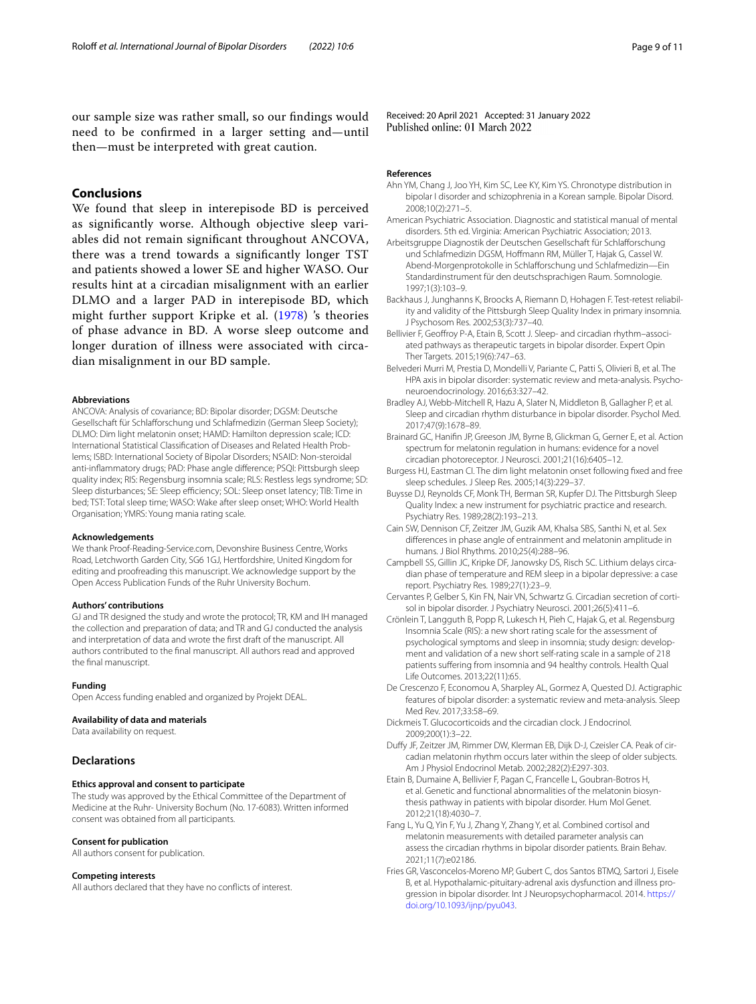our sample size was rather small, so our fndings would need to be confrmed in a larger setting and—until then—must be interpreted with great caution.

# **Conclusions**

We found that sleep in interepisode BD is perceived as signifcantly worse. Although objective sleep variables did not remain signifcant throughout ANCOVA, there was a trend towards a signifcantly longer TST and patients showed a lower SE and higher WASO. Our results hint at a circadian misalignment with an earlier DLMO and a larger PAD in interepisode BD, which might further support Kripke et al. ([1978](#page-9-34)) 's theories of phase advance in BD. A worse sleep outcome and longer duration of illness were associated with circadian misalignment in our BD sample.

#### **Abbreviations**

ANCOVA: Analysis of covariance; BD: Bipolar disorder; DGSM: Deutsche Gesellschaft für Schlafforschung und Schlafmedizin (German Sleep Society); DLMO: Dim light melatonin onset; HAMD: Hamilton depression scale; ICD: International Statistical Classifcation of Diseases and Related Health Problems; ISBD: International Society of Bipolar Disorders; NSAID: Non-steroidal anti-infammatory drugs; PAD: Phase angle diference; PSQI: Pittsburgh sleep quality index; RIS: Regensburg insomnia scale; RLS: Restless legs syndrome; SD: Sleep disturbances; SE: Sleep efficiency; SOL: Sleep onset latency; TIB: Time in bed; TST: Total sleep time; WASO: Wake after sleep onset; WHO: World Health Organisation; YMRS: Young mania rating scale.

#### **Acknowledgements**

We thank Proof-Reading-Service.com, Devonshire Business Centre, Works Road, Letchworth Garden City, SG6 1GJ, Hertfordshire, United Kingdom for editing and proofreading this manuscript. We acknowledge support by the Open Access Publication Funds of the Ruhr University Bochum.

#### **Authors' contributions**

GJ and TR designed the study and wrote the protocol; TR, KM and IH managed the collection and preparation of data; and TR and GJ conducted the analysis and interpretation of data and wrote the frst draft of the manuscript. All authors contributed to the fnal manuscript. All authors read and approved the fnal manuscript.

#### **Funding**

Open Access funding enabled and organized by Projekt DEAL.

#### **Availability of data and materials**

Data availability on request.

# **Declarations**

#### **Ethics approval and consent to participate**

The study was approved by the Ethical Committee of the Department of Medicine at the Ruhr- University Bochum (No. 17-6083). Written informed consent was obtained from all participants.

# **Consent for publication**

All authors consent for publication.

#### **Competing interests**

All authors declared that they have no conficts of interest.

Received: 20 April 2021 Accepted: 31 January 2022

#### **References**

- <span id="page-8-14"></span>Ahn YM, Chang J, Joo YH, Kim SC, Lee KY, Kim YS. Chronotype distribution in bipolar I disorder and schizophrenia in a Korean sample. Bipolar Disord. 2008;10(2):271–5.
- <span id="page-8-0"></span>American Psychiatric Association. Diagnostic and statistical manual of mental disorders. 5th ed. Virginia: American Psychiatric Association; 2013.
- <span id="page-8-12"></span>Arbeitsgruppe Diagnostik der Deutschen Gesellschaft für Schlafforschung und Schlafmedizin DGSM, Hofmann RM, Müller T, Hajak G, Cassel W. Abend-Morgenprotokolle in Schlaforschung und Schlafmedizin—Ein Standardinstrument für den deutschsprachigen Raum. Somnologie. 1997;1(3):103–9.
- <span id="page-8-10"></span>Backhaus J, Junghanns K, Broocks A, Riemann D, Hohagen F. Test-retest reliability and validity of the Pittsburgh Sleep Quality Index in primary insomnia. J Psychosom Res. 2002;53(3):737–40.
- <span id="page-8-7"></span>Bellivier F, Geofroy P-A, Etain B, Scott J. Sleep- and circadian rhythm–associated pathways as therapeutic targets in bipolar disorder. Expert Opin Ther Targets. 2015;19(6):747–63.
- <span id="page-8-16"></span>Belvederi Murri M, Prestia D, Mondelli V, Pariante C, Patti S, Olivieri B, et al. The HPA axis in bipolar disorder: systematic review and meta-analysis. Psychoneuroendocrinology. 2016;63:327–42.
- <span id="page-8-1"></span>Bradley AJ, Webb-Mitchell R, Hazu A, Slater N, Middleton B, Gallagher P, et al. Sleep and circadian rhythm disturbance in bipolar disorder. Psychol Med. 2017;47(9):1678–89.
- <span id="page-8-2"></span>Brainard GC, Hanifn JP, Greeson JM, Byrne B, Glickman G, Gerner E, et al. Action spectrum for melatonin regulation in humans: evidence for a novel circadian photoreceptor. J Neurosci. 2001;21(16):6405–12.
- <span id="page-8-19"></span>Burgess HJ, Eastman CI. The dim light melatonin onset following fxed and free sleep schedules. J Sleep Res. 2005;14(3):229–37.
- <span id="page-8-9"></span>Buysse DJ, Reynolds CF, Monk TH, Berman SR, Kupfer DJ. The Pittsburgh Sleep Quality Index: a new instrument for psychiatric practice and research. Psychiatry Res. 1989;28(2):193–213.
- <span id="page-8-18"></span>Cain SW, Dennison CF, Zeitzer JM, Guzik AM, Khalsa SBS, Santhi N, et al. Sex diferences in phase angle of entrainment and melatonin amplitude in humans. J Biol Rhythms. 2010;25(4):288–96.
- <span id="page-8-15"></span>Campbell SS, Gillin JC, Kripke DF, Janowsky DS, Risch SC. Lithium delays circadian phase of temperature and REM sleep in a bipolar depressive: a case report. Psychiatry Res. 1989;27(1):23–9.
- <span id="page-8-17"></span>Cervantes P, Gelber S, Kin FN, Nair VN, Schwartz G. Circadian secretion of cortisol in bipolar disorder. J Psychiatry Neurosci. 2001;26(5):411–6.
- <span id="page-8-11"></span>Crönlein T, Langguth B, Popp R, Lukesch H, Pieh C, Hajak G, et al. Regensburg Insomnia Scale (RIS): a new short rating scale for the assessment of psychological symptoms and sleep in insomnia; study design: development and validation of a new short self-rating scale in a sample of 218 patients suffering from insomnia and 94 healthy controls. Health Qual Life Outcomes. 2013;22(11):65.
- <span id="page-8-13"></span>De Crescenzo F, Economou A, Sharpley AL, Gormez A, Quested DJ. Actigraphic features of bipolar disorder: a systematic review and meta-analysis. Sleep Med Rev. 2017;33:58–69.
- <span id="page-8-5"></span>Dickmeis T. Glucocorticoids and the circadian clock. J Endocrinol. 2009;200(1):3–22.
- <span id="page-8-8"></span>Dufy JF, Zeitzer JM, Rimmer DW, Klerman EB, Dijk D-J, Czeisler CA. Peak of circadian melatonin rhythm occurs later within the sleep of older subjects. Am J Physiol Endocrinol Metab. 2002;282(2):E297-303.
- <span id="page-8-3"></span>Etain B, Dumaine A, Bellivier F, Pagan C, Francelle L, Goubran-Botros H, et al. Genetic and functional abnormalities of the melatonin biosynthesis pathway in patients with bipolar disorder. Hum Mol Genet. 2012;21(18):4030–7.
- <span id="page-8-4"></span>Fang L, Yu Q, Yin F, Yu J, Zhang Y, Zhang Y, et al. Combined cortisol and melatonin measurements with detailed parameter analysis can assess the circadian rhythms in bipolar disorder patients. Brain Behav. 2021;11(7):e02186.
- <span id="page-8-6"></span>Fries GR, Vasconcelos-Moreno MP, Gubert C, dos Santos BTMQ, Sartori J, Eisele B, et al. Hypothalamic-pituitary-adrenal axis dysfunction and illness progression in bipolar disorder. Int J Neuropsychopharmacol. 2014. [https://](https://doi.org/10.1093/ijnp/pyu043) [doi.org/10.1093/ijnp/pyu043.](https://doi.org/10.1093/ijnp/pyu043)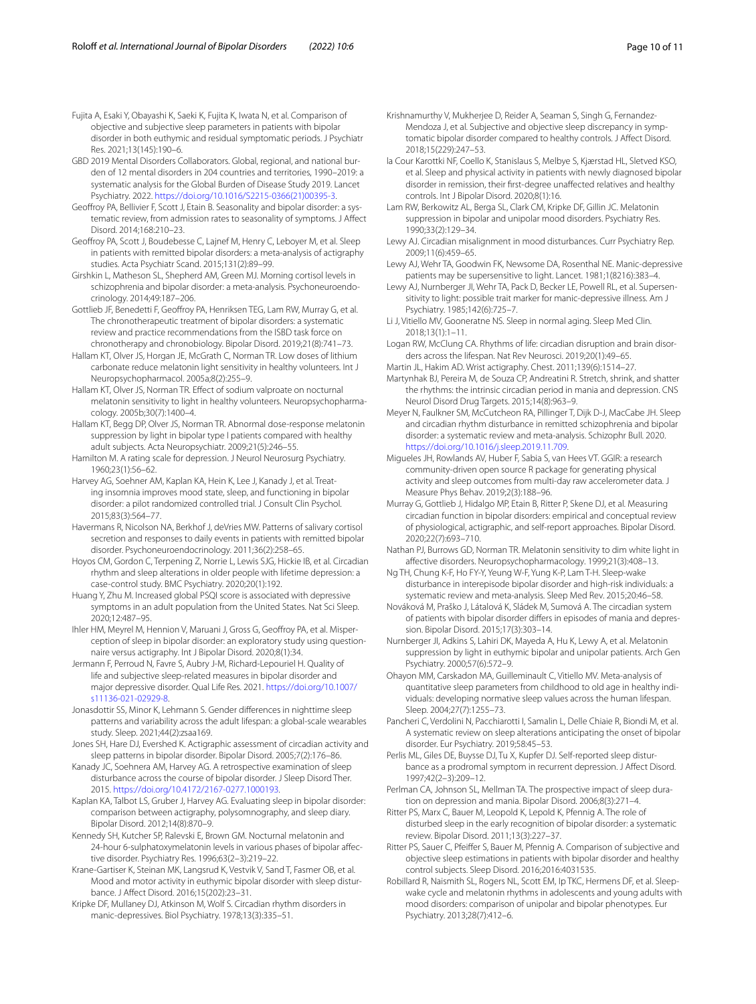<span id="page-9-29"></span>Fujita A, Esaki Y, Obayashi K, Saeki K, Fujita K, Iwata N, et al. Comparison of objective and subjective sleep parameters in patients with bipolar disorder in both euthymic and residual symptomatic periods. J Psychiatr Res. 2021;13(145):190–6.

- <span id="page-9-0"></span>GBD 2019 Mental Disorders Collaborators. Global, regional, and national burden of 12 mental disorders in 204 countries and territories, 1990–2019: a systematic analysis for the Global Burden of Disease Study 2019. Lancet Psychiatry. 2022. [https://doi.org/10.1016/S2215-0366\(21\)00395-3](https://doi.org/10.1016/S2215-0366(21)00395-3).
- <span id="page-9-10"></span>Geofroy PA, Bellivier F, Scott J, Etain B. Seasonality and bipolar disorder: a systematic review, from admission rates to seasonality of symptoms. J Afect Disord. 2014;168:210–23.
- <span id="page-9-7"></span>Geofroy PA, Scott J, Boudebesse C, Lajnef M, Henry C, Leboyer M, et al. Sleep in patients with remitted bipolar disorders: a meta-analysis of actigraphy studies. Acta Psychiatr Scand. 2015;131(2):89–99.
- <span id="page-9-41"></span>Girshkin L, Matheson SL, Shepherd AM, Green MJ. Morning cortisol levels in schizophrenia and bipolar disorder: a meta-analysis. Psychoneuroendocrinology. 2014;49:187–206.
- <span id="page-9-20"></span>Gottlieb JF, Benedetti F, Geofroy PA, Henriksen TEG, Lam RW, Murray G, et al. The chronotherapeutic treatment of bipolar disorders: a systematic review and practice recommendations from the ISBD task force on chronotherapy and chronobiology. Bipolar Disord. 2019;21(8):741–73.
- <span id="page-9-39"></span>Hallam KT, Olver JS, Horgan JE, McGrath C, Norman TR. Low doses of lithium carbonate reduce melatonin light sensitivity in healthy volunteers. Int J Neuropsychopharmacol. 2005a;8(2):255–9.
- <span id="page-9-40"></span>Hallam KT, Olver JS, Norman TR. Efect of sodium valproate on nocturnal melatonin sensitivity to light in healthy volunteers. Neuropsychopharmacology. 2005b;30(7):1400–4.
- <span id="page-9-11"></span>Hallam KT, Begg DP, Olver JS, Norman TR. Abnormal dose-response melatonin suppression by light in bipolar type I patients compared with healthy adult subjects. Acta Neuropsychiatr. 2009;21(5):246–55.
- <span id="page-9-23"></span>Hamilton M. A rating scale for depression. J Neurol Neurosurg Psychiatry. 1960;23(1):56–62.
- <span id="page-9-3"></span>Harvey AG, Soehner AM, Kaplan KA, Hein K, Lee J, Kanady J, et al. Treating insomnia improves mood state, sleep, and functioning in bipolar disorder: a pilot randomized controlled trial. J Consult Clin Psychol. 2015;83(3):564–77.
- <span id="page-9-18"></span>Havermans R, Nicolson NA, Berkhof J, deVries MW. Patterns of salivary cortisol secretion and responses to daily events in patients with remitted bipolar disorder. Psychoneuroendocrinology. 2011;36(2):258–65.
- <span id="page-9-35"></span>Hoyos CM, Gordon C, Terpening Z, Norrie L, Lewis SJG, Hickie IB, et al. Circadian rhythm and sleep alterations in older people with lifetime depression: a case-control study. BMC Psychiatry. 2020;20(1):192.
- <span id="page-9-44"></span>Huang Y, Zhu M. Increased global PSQI score is associated with depressive symptoms in an adult population from the United States. Nat Sci Sleep. 2020;12:487–95.
- <span id="page-9-30"></span>Ihler HM, Meyrel M, Hennion V, Maruani J, Gross G, Geofroy PA, et al. Misperception of sleep in bipolar disorder: an exploratory study using questionnaire versus actigraphy. Int J Bipolar Disord. 2020;8(1):34.
- <span id="page-9-4"></span>Jermann F, Perroud N, Favre S, Aubry J-M, Richard-Lepouriel H. Quality of life and subjective sleep-related measures in bipolar disorder and major depressive disorder. Qual Life Res. 2021. [https://doi.org/10.1007/](https://doi.org/10.1007/s11136-021-02929-8) [s11136-021-02929-8](https://doi.org/10.1007/s11136-021-02929-8).
- <span id="page-9-45"></span>Jonasdottir SS, Minor K, Lehmann S. Gender diferences in nighttime sleep patterns and variability across the adult lifespan: a global-scale wearables study. Sleep. 2021;44(2):zsaa169.
- <span id="page-9-9"></span>Jones SH, Hare DJ, Evershed K. Actigraphic assessment of circadian activity and sleep patterns in bipolar disorder. Bipolar Disord. 2005;7(2):176–86.
- <span id="page-9-5"></span>Kanady JC, Soehnera AM, Harvey AG. A retrospective examination of sleep disturbance across the course of bipolar disorder. J Sleep Disord Ther. 2015. [https://doi.org/10.4172/2167-0277.1000193.](https://doi.org/10.4172/2167-0277.1000193)
- <span id="page-9-25"></span>Kaplan KA, Talbot LS, Gruber J, Harvey AG. Evaluating sleep in bipolar disorder: comparison between actigraphy, polysomnography, and sleep diary. Bipolar Disord. 2012;14(8):870–9.
- <span id="page-9-33"></span>Kennedy SH, Kutcher SP, Ralevski E, Brown GM. Nocturnal melatonin and 24-hour 6-sulphatoxymelatonin levels in various phases of bipolar afective disorder. Psychiatry Res. 1996;63(2–3):219–22.
- <span id="page-9-32"></span>Krane-Gartiser K, Steinan MK, Langsrud K, Vestvik V, Sand T, Fasmer OB, et al. Mood and motor activity in euthymic bipolar disorder with sleep disturbance. J Afect Disord. 2016;15(202):23–31.
- <span id="page-9-34"></span>Kripke DF, Mullaney DJ, Atkinson M, Wolf S. Circadian rhythm disorders in manic-depressives. Biol Psychiatry. 1978;13(3):335–51.
- <span id="page-9-28"></span>Krishnamurthy V, Mukherjee D, Reider A, Seaman S, Singh G, Fernandez-Mendoza J, et al. Subjective and objective sleep discrepancy in symptomatic bipolar disorder compared to healthy controls. J Afect Disord. 2018;15(229):247–53.
- <span id="page-9-27"></span>la Cour Karottki NF, Coello K, Stanislaus S, Melbye S, Kjærstad HL, Sletved KSO, et al. Sleep and physical activity in patients with newly diagnosed bipolar disorder in remission, their frst-degree unafected relatives and healthy controls. Int J Bipolar Disord. 2020;8(1):16.
- <span id="page-9-38"></span>Lam RW, Berkowitz AL, Berga SL, Clark CM, Kripke DF, Gillin JC. Melatonin suppression in bipolar and unipolar mood disorders. Psychiatry Res. 1990;33(2):129–34.
- <span id="page-9-17"></span>Lewy AJ. Circadian misalignment in mood disturbances. Curr Psychiatry Rep. 2009;11(6):459–65.
- <span id="page-9-36"></span>Lewy AJ, Wehr TA, Goodwin FK, Newsome DA, Rosenthal NE. Manic-depressive patients may be supersensitive to light. Lancet. 1981;1(8216):383–4.
- <span id="page-9-12"></span>Lewy AJ, Nurnberger JI, Wehr TA, Pack D, Becker LE, Powell RL, et al. Supersensitivity to light: possible trait marker for manic-depressive illness. Am J Psychiatry. 1985;142(6):725–7.
- <span id="page-9-22"></span>Li J, Vitiello MV, Gooneratne NS. Sleep in normal aging. Sleep Med Clin. 2018;13(1):1–11.
- <span id="page-9-46"></span>Logan RW, McClung CA. Rhythms of life: circadian disruption and brain disorders across the lifespan. Nat Rev Neurosci. 2019;20(1):49–65.
- <span id="page-9-24"></span>Martin JL, Hakim AD. Wrist actigraphy. Chest. 2011;139(6):1514–27.
- <span id="page-9-19"></span>Martynhak BJ, Pereira M, de Souza CP, Andreatini R. Stretch, shrink, and shatter the rhythms: the intrinsic circadian period in mania and depression. CNS Neurol Disord Drug Targets. 2015;14(8):963–9.
- <span id="page-9-8"></span>Meyer N, Faulkner SM, McCutcheon RA, Pillinger T, Dijk D-J, MacCabe JH. Sleep and circadian rhythm disturbance in remitted schizophrenia and bipolar disorder: a systematic review and meta-analysis. Schizophr Bull. 2020. [https://doi.org/10.1016/j.sleep.2019.11.709.](https://doi.org/10.1016/j.sleep.2019.11.709)
- <span id="page-9-26"></span>Migueles JH, Rowlands AV, Huber F, Sabia S, van Hees VT. GGIR: a research community-driven open source R package for generating physical activity and sleep outcomes from multi-day raw accelerometer data. J Measure Phys Behav. 2019;2(3):188–96.
- <span id="page-9-16"></span>Murray G, Gottlieb J, Hidalgo MP, Etain B, Ritter P, Skene DJ, et al. Measuring circadian function in bipolar disorders: empirical and conceptual review of physiological, actigraphic, and self-report approaches. Bipolar Disord. 2020;22(7):693–710.
- <span id="page-9-37"></span>Nathan PJ, Burrows GD, Norman TR. Melatonin sensitivity to dim white light in afective disorders. Neuropsychopharmacology. 1999;21(3):408–13.
- <span id="page-9-6"></span>Ng TH, Chung K-F, Ho FY-Y, Yeung W-F, Yung K-P, Lam T-H. Sleep-wake disturbance in interepisode bipolar disorder and high-risk individuals: a systematic review and meta-analysis. Sleep Med Rev. 2015;20:46–58.
- <span id="page-9-14"></span>Nováková M, Praško J, Látalová K, Sládek M, Sumová A. The circadian system of patients with bipolar disorder difers in episodes of mania and depression. Bipolar Disord. 2015;17(3):303–14.
- <span id="page-9-13"></span>Nurnberger JI, Adkins S, Lahiri DK, Mayeda A, Hu K, Lewy A, et al. Melatonin suppression by light in euthymic bipolar and unipolar patients. Arch Gen Psychiatry. 2000;57(6):572–9.
- <span id="page-9-21"></span>Ohayon MM, Carskadon MA, Guilleminault C, Vitiello MV. Meta-analysis of quantitative sleep parameters from childhood to old age in healthy individuals: developing normative sleep values across the human lifespan. Sleep. 2004;27(7):1255–73.
- <span id="page-9-1"></span>Pancheri C, Verdolini N, Pacchiarotti I, Samalin L, Delle Chiaie R, Biondi M, et al. A systematic review on sleep alterations anticipating the onset of bipolar disorder. Eur Psychiatry. 2019;58:45–53.
- <span id="page-9-42"></span>Perlis ML, Giles DE, Buysse DJ, Tu X, Kupfer DJ. Self-reported sleep disturbance as a prodromal symptom in recurrent depression. J Afect Disord. 1997;42(2–3):209–12.
- <span id="page-9-43"></span>Perlman CA, Johnson SL, Mellman TA. The prospective impact of sleep duration on depression and mania. Bipolar Disord. 2006;8(3):271–4.
- <span id="page-9-2"></span>Ritter PS, Marx C, Bauer M, Leopold K, Lepold K, Pfennig A. The role of disturbed sleep in the early recognition of bipolar disorder: a systematic review. Bipolar Disord. 2011;13(3):227–37.
- <span id="page-9-31"></span>Ritter PS, Sauer C, Pfeifer S, Bauer M, Pfennig A. Comparison of subjective and objective sleep estimations in patients with bipolar disorder and healthy control subjects. Sleep Disord. 2016;2016:4031535.
- <span id="page-9-15"></span>Robillard R, Naismith SL, Rogers NL, Scott EM, Ip TKC, Hermens DF, et al. Sleepwake cycle and melatonin rhythms in adolescents and young adults with mood disorders: comparison of unipolar and bipolar phenotypes. Eur Psychiatry. 2013;28(7):412–6.